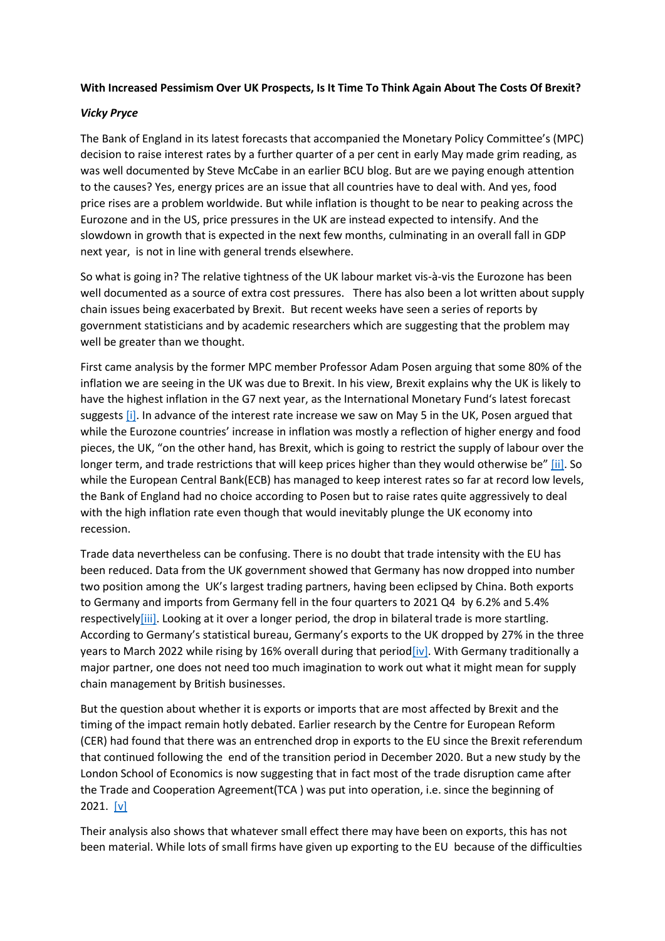## **With Increased Pessimism Over UK Prospects, Is It Time To Think Again About The Costs Of Brexit?**

## *Vicky Pryce*

The Bank of England in its latest forecasts that accompanied the Monetary Policy Committee's (MPC) decision to raise interest rates by a further quarter of a per cent in early May made grim reading, as was well documented by Steve McCabe in an earlier BCU blog. But are we paying enough attention to the causes? Yes, energy prices are an issue that all countries have to deal with. And yes, food price rises are a problem worldwide. But while inflation is thought to be near to peaking across the Eurozone and in the US, price pressures in the UK are instead expected to intensify. And the slowdown in growth that is expected in the next few months, culminating in an overall fall in GDP next year, is not in line with general trends elsewhere.

So what is going in? The relative tightness of the UK labour market vis-à-vis the Eurozone has been well documented as a source of extra cost pressures. There has also been a lot written about supply chain issues being exacerbated by Brexit. But recent weeks have seen a series of reports by government statisticians and by academic researchers which are suggesting that the problem may well be greater than we thought.

First came analysis by the former MPC member Professor Adam Posen arguing that some 80% of the inflation we are seeing in the UK was due to Brexit. In his view, Brexit explains why the UK is likely to have the highest inflation in the G7 next year, as the International Monetary Fund's latest forecast suggests [\[i\].](https://centreforbrexitstudiesblog.wordpress.com/2022/05/10/with-increased-pessimism-over-uk-prospects-is-it-time-to-think-again-about-the-costs-of-brexit/#_edn1) In advance of the interest rate increase we saw on May 5 in the UK, Posen argued that while the Eurozone countries' increase in inflation was mostly a reflection of higher energy and food pieces, the UK, "on the other hand, has Brexit, which is going to restrict the supply of labour over the longer term, and trade restrictions that will keep prices higher than they would otherwise be" [\[ii\].](https://centreforbrexitstudiesblog.wordpress.com/2022/05/10/with-increased-pessimism-over-uk-prospects-is-it-time-to-think-again-about-the-costs-of-brexit/#_edn2) So while the European Central Bank(ECB) has managed to keep interest rates so far at record low levels, the Bank of England had no choice according to Posen but to raise rates quite aggressively to deal with the high inflation rate even though that would inevitably plunge the UK economy into recession.

Trade data nevertheless can be confusing. There is no doubt that trade intensity with the EU has been reduced. Data from the UK government showed that Germany has now dropped into number two position among the UK's largest trading partners, having been eclipsed by China. Both exports to Germany and imports from Germany fell in the four quarters to 2021 Q4 by 6.2% and 5.4% respectivel[y\[iii\].](https://centreforbrexitstudiesblog.wordpress.com/2022/05/10/with-increased-pessimism-over-uk-prospects-is-it-time-to-think-again-about-the-costs-of-brexit/#_edn3) Looking at it over a longer period, the drop in bilateral trade is more startling. According to Germany's statistical bureau, Germany's exports to the UK dropped by 27% in the three years to March 2022 while rising by 16% overall during that perio[d\[iv\].](https://centreforbrexitstudiesblog.wordpress.com/2022/05/10/with-increased-pessimism-over-uk-prospects-is-it-time-to-think-again-about-the-costs-of-brexit/#_edn4) With Germany traditionally a major partner, one does not need too much imagination to work out what it might mean for supply chain management by British businesses.

But the question about whether it is exports or imports that are most affected by Brexit and the timing of the impact remain hotly debated. Earlier research by the Centre for European Reform (CER) had found that there was an entrenched drop in exports to the EU since the Brexit referendum that continued following the end of the transition period in December 2020. But a new study by the London School of Economics is now suggesting that in fact most of the trade disruption came after the Trade and Cooperation Agreement(TCA ) was put into operation, i.e. since the beginning of 2021. [\[v\]](https://centreforbrexitstudiesblog.wordpress.com/2022/05/10/with-increased-pessimism-over-uk-prospects-is-it-time-to-think-again-about-the-costs-of-brexit/#_edn5) 

Their analysis also shows that whatever small effect there may have been on exports, this has not been material. While lots of small firms have given up exporting to the EU because of the difficulties